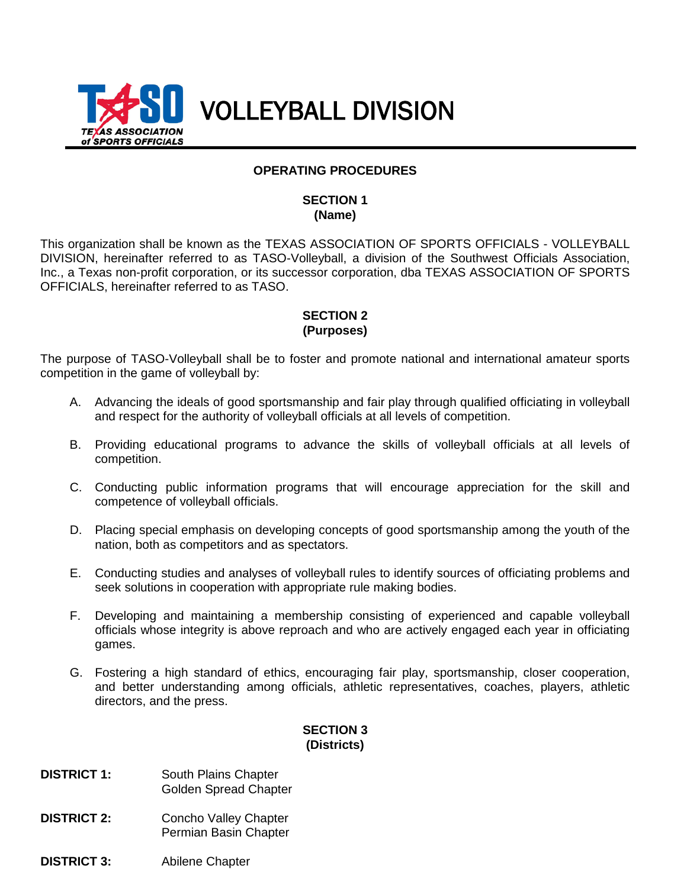

### **OPERATING PROCEDURES**

### **SECTION 1 (Name)**

This organization shall be known as the TEXAS ASSOCIATION OF SPORTS OFFICIALS - VOLLEYBALL DIVISION, hereinafter referred to as TASO-Volleyball, a division of the Southwest Officials Association, Inc., a Texas non-profit corporation, or its successor corporation, dba TEXAS ASSOCIATION OF SPORTS OFFICIALS, hereinafter referred to as TASO.

# **SECTION 2 (Purposes)**

The purpose of TASO-Volleyball shall be to foster and promote national and international amateur sports competition in the game of volleyball by:

- A. Advancing the ideals of good sportsmanship and fair play through qualified officiating in volleyball and respect for the authority of volleyball officials at all levels of competition.
- B. Providing educational programs to advance the skills of volleyball officials at all levels of competition.
- C. Conducting public information programs that will encourage appreciation for the skill and competence of volleyball officials.
- D. Placing special emphasis on developing concepts of good sportsmanship among the youth of the nation, both as competitors and as spectators.
- E. Conducting studies and analyses of volleyball rules to identify sources of officiating problems and seek solutions in cooperation with appropriate rule making bodies.
- F. Developing and maintaining a membership consisting of experienced and capable volleyball officials whose integrity is above reproach and who are actively engaged each year in officiating games.
- G. Fostering a high standard of ethics, encouraging fair play, sportsmanship, closer cooperation, and better understanding among officials, athletic representatives, coaches, players, athletic directors, and the press.

# **SECTION 3 (Districts)**

- **DISTRICT 1:** South Plains Chapter Golden Spread Chapter
- **DISTRICT 2:** Concho Valley Chapter Permian Basin Chapter
- **DISTRICT 3:** Abilene Chapter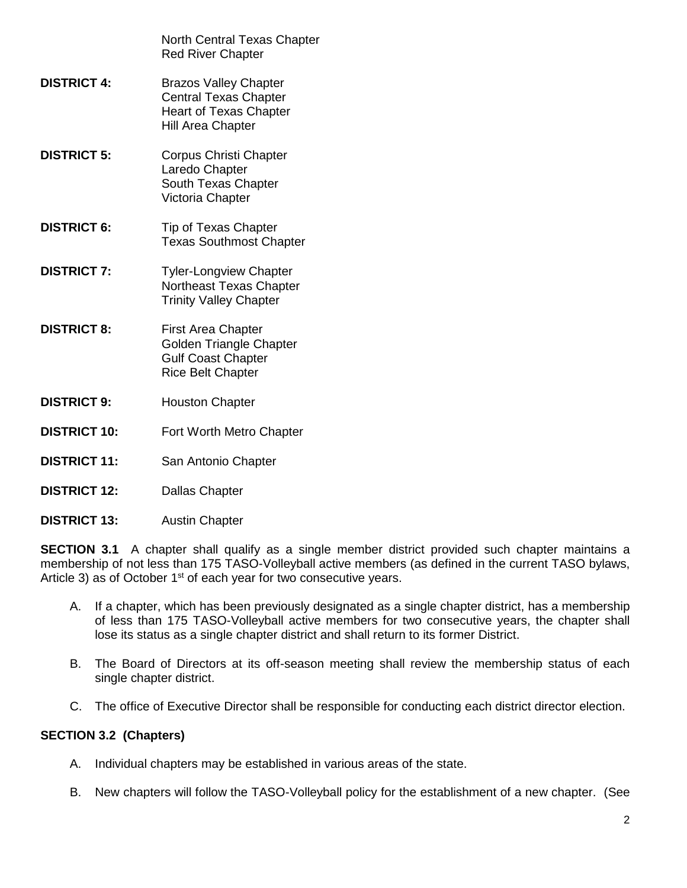|                     | North Central Texas Chapter<br><b>Red River Chapter</b>                                                                   |
|---------------------|---------------------------------------------------------------------------------------------------------------------------|
| <b>DISTRICT 4:</b>  | <b>Brazos Valley Chapter</b><br><b>Central Texas Chapter</b><br><b>Heart of Texas Chapter</b><br><b>Hill Area Chapter</b> |
| <b>DISTRICT 5:</b>  | <b>Corpus Christi Chapter</b><br>Laredo Chapter<br>South Texas Chapter<br>Victoria Chapter                                |
| <b>DISTRICT 6:</b>  | Tip of Texas Chapter<br><b>Texas Southmost Chapter</b>                                                                    |
| <b>DISTRICT 7:</b>  | <b>Tyler-Longview Chapter</b><br>Northeast Texas Chapter<br><b>Trinity Valley Chapter</b>                                 |
| <b>DISTRICT 8:</b>  | <b>First Area Chapter</b><br>Golden Triangle Chapter<br><b>Gulf Coast Chapter</b><br><b>Rice Belt Chapter</b>             |
| <b>DISTRICT 9:</b>  | <b>Houston Chapter</b>                                                                                                    |
| <b>DISTRICT 10:</b> | Fort Worth Metro Chapter                                                                                                  |
| <b>DISTRICT 11:</b> | San Antonio Chapter                                                                                                       |
| <b>DISTRICT 12:</b> | <b>Dallas Chapter</b>                                                                                                     |
|                     |                                                                                                                           |

**SECTION 3.1** A chapter shall qualify as a single member district provided such chapter maintains a membership of not less than 175 TASO-Volleyball active members (as defined in the current TASO bylaws, Article 3) as of October  $1<sup>st</sup>$  of each year for two consecutive years.

- A. If a chapter, which has been previously designated as a single chapter district, has a membership of less than 175 TASO-Volleyball active members for two consecutive years, the chapter shall lose its status as a single chapter district and shall return to its former District.
- B. The Board of Directors at its off-season meeting shall review the membership status of each single chapter district.
- C. The office of Executive Director shall be responsible for conducting each district director election.

# **SECTION 3.2 (Chapters)**

**DISTRICT 13:** Austin Chapter

- A. Individual chapters may be established in various areas of the state.
- B. New chapters will follow the TASO-Volleyball policy for the establishment of a new chapter. (See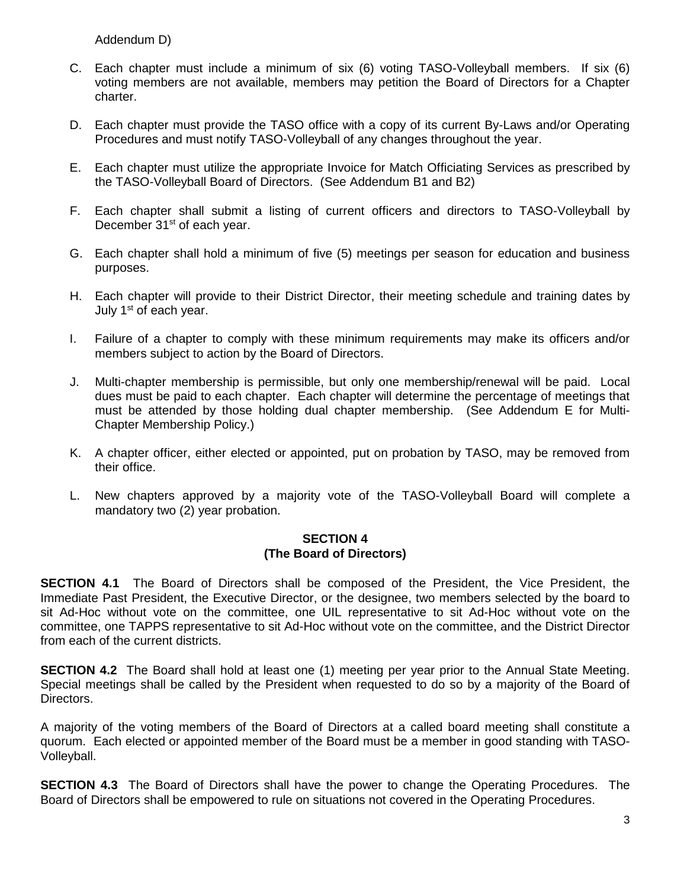Addendum D)

- C. Each chapter must include a minimum of six (6) voting TASO-Volleyball members. If six (6) voting members are not available, members may petition the Board of Directors for a Chapter charter.
- D. Each chapter must provide the TASO office with a copy of its current By-Laws and/or Operating Procedures and must notify TASO-Volleyball of any changes throughout the year.
- E. Each chapter must utilize the appropriate Invoice for Match Officiating Services as prescribed by the TASO-Volleyball Board of Directors. (See Addendum B1 and B2)
- F. Each chapter shall submit a listing of current officers and directors to TASO-Volleyball by December 31<sup>st</sup> of each year.
- G. Each chapter shall hold a minimum of five (5) meetings per season for education and business purposes.
- H. Each chapter will provide to their District Director, their meeting schedule and training dates by July 1<sup>st</sup> of each year.
- I. Failure of a chapter to comply with these minimum requirements may make its officers and/or members subject to action by the Board of Directors.
- J. Multi-chapter membership is permissible, but only one membership/renewal will be paid. Local dues must be paid to each chapter. Each chapter will determine the percentage of meetings that must be attended by those holding dual chapter membership. (See Addendum E for Multi-Chapter Membership Policy.)
- K. A chapter officer, either elected or appointed, put on probation by TASO, may be removed from their office.
- L. New chapters approved by a majority vote of the TASO-Volleyball Board will complete a mandatory two (2) year probation.

# **SECTION 4 (The Board of Directors)**

**SECTION 4.1** The Board of Directors shall be composed of the President, the Vice President, the Immediate Past President, the Executive Director, or the designee, two members selected by the board to sit Ad-Hoc without vote on the committee, one UIL representative to sit Ad-Hoc without vote on the committee, one TAPPS representative to sit Ad-Hoc without vote on the committee, and the District Director from each of the current districts.

**SECTION 4.2** The Board shall hold at least one (1) meeting per year prior to the Annual State Meeting. Special meetings shall be called by the President when requested to do so by a majority of the Board of Directors.

A majority of the voting members of the Board of Directors at a called board meeting shall constitute a quorum. Each elected or appointed member of the Board must be a member in good standing with TASO-Volleyball.

**SECTION 4.3** The Board of Directors shall have the power to change the Operating Procedures. The Board of Directors shall be empowered to rule on situations not covered in the Operating Procedures.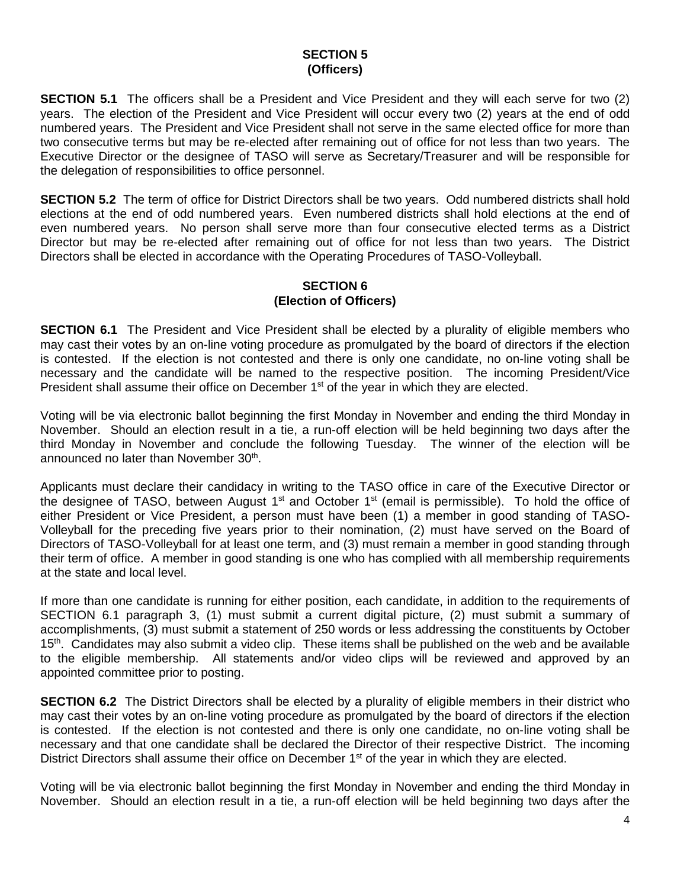# **SECTION 5 (Officers)**

**SECTION 5.1** The officers shall be a President and Vice President and they will each serve for two (2) years. The election of the President and Vice President will occur every two (2) years at the end of odd numbered years. The President and Vice President shall not serve in the same elected office for more than two consecutive terms but may be re-elected after remaining out of office for not less than two years. The Executive Director or the designee of TASO will serve as Secretary/Treasurer and will be responsible for the delegation of responsibilities to office personnel.

**SECTION 5.2** The term of office for District Directors shall be two years. Odd numbered districts shall hold elections at the end of odd numbered years. Even numbered districts shall hold elections at the end of even numbered years. No person shall serve more than four consecutive elected terms as a District Director but may be re-elected after remaining out of office for not less than two years. The District Directors shall be elected in accordance with the Operating Procedures of TASO-Volleyball.

# **SECTION 6 (Election of Officers)**

**SECTION 6.1** The President and Vice President shall be elected by a plurality of eligible members who may cast their votes by an on-line voting procedure as promulgated by the board of directors if the election is contested. If the election is not contested and there is only one candidate, no on-line voting shall be necessary and the candidate will be named to the respective position. The incoming President/Vice President shall assume their office on December  $1<sup>st</sup>$  of the year in which they are elected.

Voting will be via electronic ballot beginning the first Monday in November and ending the third Monday in November. Should an election result in a tie, a run-off election will be held beginning two days after the third Monday in November and conclude the following Tuesday. The winner of the election will be announced no later than November 30<sup>th</sup>.

Applicants must declare their candidacy in writing to the TASO office in care of the Executive Director or the designee of TASO, between August  $1<sup>st</sup>$  and October  $1<sup>st</sup>$  (email is permissible). To hold the office of either President or Vice President, a person must have been (1) a member in good standing of TASO-Volleyball for the preceding five years prior to their nomination, (2) must have served on the Board of Directors of TASO-Volleyball for at least one term, and (3) must remain a member in good standing through their term of office. A member in good standing is one who has complied with all membership requirements at the state and local level.

If more than one candidate is running for either position, each candidate, in addition to the requirements of SECTION 6.1 paragraph 3, (1) must submit a current digital picture, (2) must submit a summary of accomplishments, (3) must submit a statement of 250 words or less addressing the constituents by October 15<sup>th</sup>. Candidates may also submit a video clip. These items shall be published on the web and be available to the eligible membership. All statements and/or video clips will be reviewed and approved by an appointed committee prior to posting.

**SECTION 6.2** The District Directors shall be elected by a plurality of eligible members in their district who may cast their votes by an on-line voting procedure as promulgated by the board of directors if the election is contested. If the election is not contested and there is only one candidate, no on-line voting shall be necessary and that one candidate shall be declared the Director of their respective District. The incoming District Directors shall assume their office on December 1<sup>st</sup> of the year in which they are elected.

Voting will be via electronic ballot beginning the first Monday in November and ending the third Monday in November. Should an election result in a tie, a run-off election will be held beginning two days after the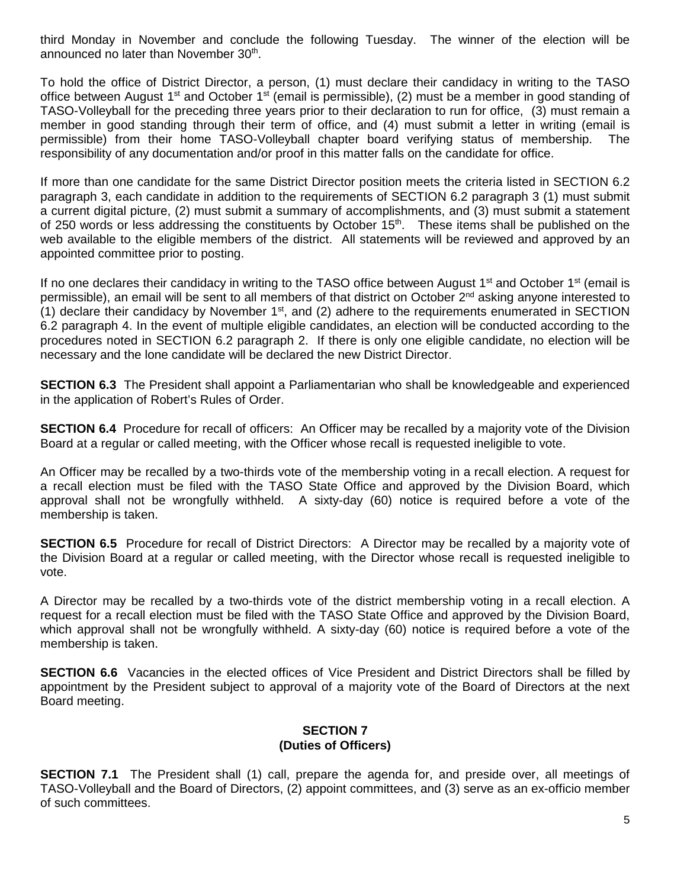third Monday in November and conclude the following Tuesday. The winner of the election will be announced no later than November 30<sup>th</sup>.

To hold the office of District Director, a person, (1) must declare their candidacy in writing to the TASO office between August 1<sup>st</sup> and October 1<sup>st</sup> (email is permissible), (2) must be a member in good standing of TASO-Volleyball for the preceding three years prior to their declaration to run for office, (3) must remain a member in good standing through their term of office, and (4) must submit a letter in writing (email is permissible) from their home TASO-Volleyball chapter board verifying status of membership. The responsibility of any documentation and/or proof in this matter falls on the candidate for office.

If more than one candidate for the same District Director position meets the criteria listed in SECTION 6.2 paragraph 3, each candidate in addition to the requirements of SECTION 6.2 paragraph 3 (1) must submit a current digital picture, (2) must submit a summary of accomplishments, and (3) must submit a statement of 250 words or less addressing the constituents by October 15<sup>th</sup>. These items shall be published on the web available to the eligible members of the district. All statements will be reviewed and approved by an appointed committee prior to posting.

If no one declares their candidacy in writing to the TASO office between August  $1<sup>st</sup>$  and October  $1<sup>st</sup>$  (email is permissible), an email will be sent to all members of that district on October  $2^{nd}$  asking anyone interested to (1) declare their candidacy by November  $1<sup>st</sup>$ , and (2) adhere to the requirements enumerated in SECTION 6.2 paragraph 4. In the event of multiple eligible candidates, an election will be conducted according to the procedures noted in SECTION 6.2 paragraph 2. If there is only one eligible candidate, no election will be necessary and the lone candidate will be declared the new District Director.

**SECTION 6.3** The President shall appoint a Parliamentarian who shall be knowledgeable and experienced in the application of Robert's Rules of Order.

**SECTION 6.4** Procedure for recall of officers: An Officer may be recalled by a majority vote of the Division Board at a regular or called meeting, with the Officer whose recall is requested ineligible to vote.

An Officer may be recalled by a two-thirds vote of the membership voting in a recall election. A request for a recall election must be filed with the TASO State Office and approved by the Division Board, which approval shall not be wrongfully withheld. A sixty-day (60) notice is required before a vote of the membership is taken.

**SECTION 6.5** Procedure for recall of District Directors: A Director may be recalled by a majority vote of the Division Board at a regular or called meeting, with the Director whose recall is requested ineligible to vote.

A Director may be recalled by a two-thirds vote of the district membership voting in a recall election. A request for a recall election must be filed with the TASO State Office and approved by the Division Board, which approval shall not be wrongfully withheld. A sixty-day (60) notice is required before a vote of the membership is taken.

**SECTION 6.6** Vacancies in the elected offices of Vice President and District Directors shall be filled by appointment by the President subject to approval of a majority vote of the Board of Directors at the next Board meeting.

# **SECTION 7 (Duties of Officers)**

**SECTION 7.1** The President shall (1) call, prepare the agenda for, and preside over, all meetings of TASO-Volleyball and the Board of Directors, (2) appoint committees, and (3) serve as an ex-officio member of such committees.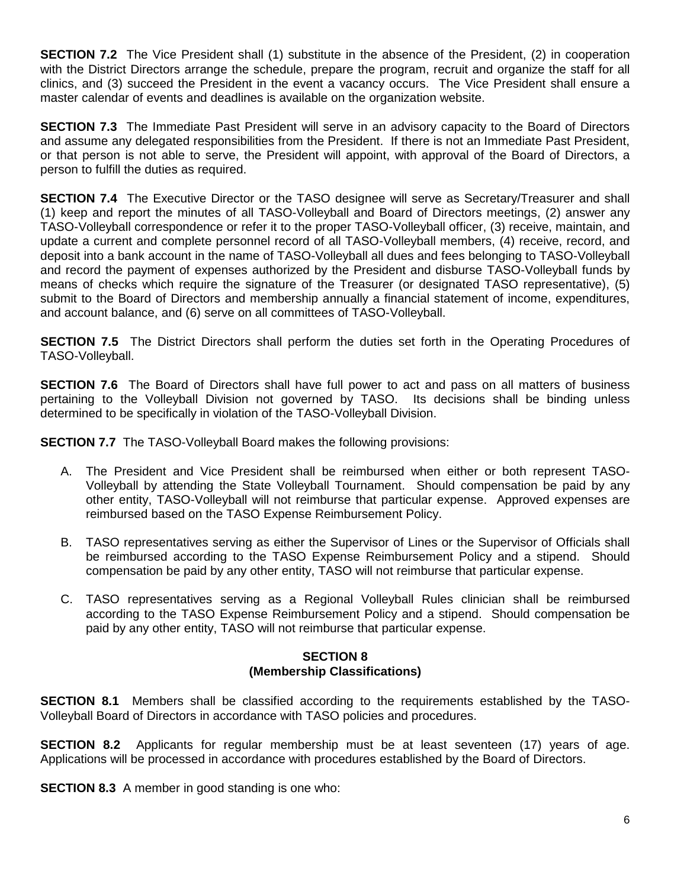**SECTION 7.2** The Vice President shall (1) substitute in the absence of the President, (2) in cooperation with the District Directors arrange the schedule, prepare the program, recruit and organize the staff for all clinics, and (3) succeed the President in the event a vacancy occurs. The Vice President shall ensure a master calendar of events and deadlines is available on the organization website.

**SECTION 7.3** The Immediate Past President will serve in an advisory capacity to the Board of Directors and assume any delegated responsibilities from the President. If there is not an Immediate Past President, or that person is not able to serve, the President will appoint, with approval of the Board of Directors, a person to fulfill the duties as required.

**SECTION 7.4** The Executive Director or the TASO designee will serve as Secretary/Treasurer and shall (1) keep and report the minutes of all TASO-Volleyball and Board of Directors meetings, (2) answer any TASO-Volleyball correspondence or refer it to the proper TASO-Volleyball officer, (3) receive, maintain, and update a current and complete personnel record of all TASO-Volleyball members, (4) receive, record, and deposit into a bank account in the name of TASO-Volleyball all dues and fees belonging to TASO-Volleyball and record the payment of expenses authorized by the President and disburse TASO-Volleyball funds by means of checks which require the signature of the Treasurer (or designated TASO representative), (5) submit to the Board of Directors and membership annually a financial statement of income, expenditures, and account balance, and (6) serve on all committees of TASO-Volleyball.

**SECTION 7.5** The District Directors shall perform the duties set forth in the Operating Procedures of TASO-Volleyball.

**SECTION 7.6** The Board of Directors shall have full power to act and pass on all matters of business pertaining to the Volleyball Division not governed by TASO. Its decisions shall be binding unless determined to be specifically in violation of the TASO-Volleyball Division.

**SECTION 7.7** The TASO-Volleyball Board makes the following provisions:

- A. The President and Vice President shall be reimbursed when either or both represent TASO-Volleyball by attending the State Volleyball Tournament. Should compensation be paid by any other entity, TASO-Volleyball will not reimburse that particular expense. Approved expenses are reimbursed based on the TASO Expense Reimbursement Policy.
- B. TASO representatives serving as either the Supervisor of Lines or the Supervisor of Officials shall be reimbursed according to the TASO Expense Reimbursement Policy and a stipend. Should compensation be paid by any other entity, TASO will not reimburse that particular expense.
- C. TASO representatives serving as a Regional Volleyball Rules clinician shall be reimbursed according to the TASO Expense Reimbursement Policy and a stipend. Should compensation be paid by any other entity, TASO will not reimburse that particular expense.

# **SECTION 8 (Membership Classifications)**

**SECTION 8.1** Members shall be classified according to the requirements established by the TASO-Volleyball Board of Directors in accordance with TASO policies and procedures.

**SECTION 8.2** Applicants for regular membership must be at least seventeen (17) years of age. Applications will be processed in accordance with procedures established by the Board of Directors.

**SECTION 8.3** A member in good standing is one who: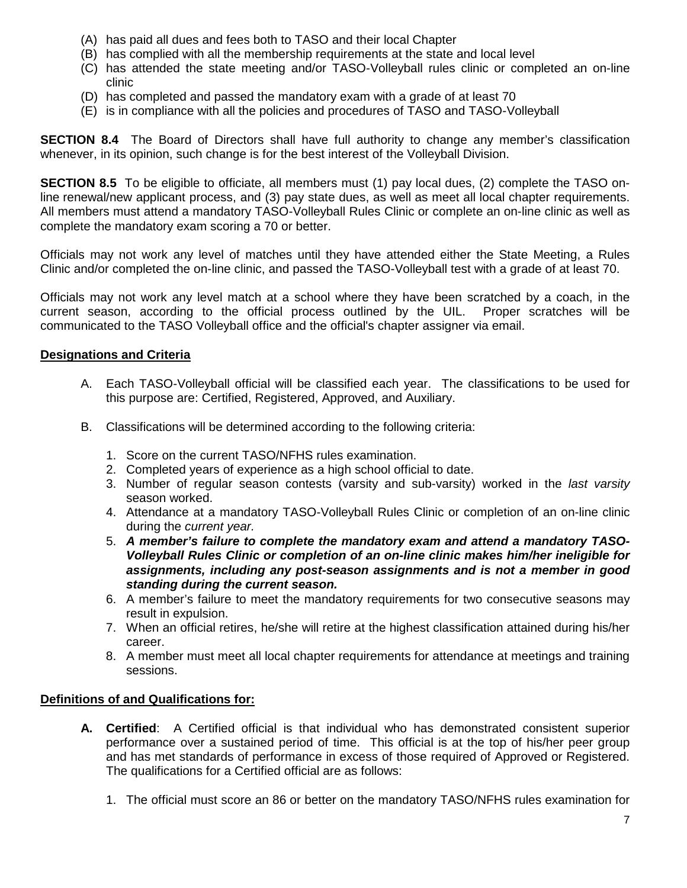- (A) has paid all dues and fees both to TASO and their local Chapter
- (B) has complied with all the membership requirements at the state and local level
- (C) has attended the state meeting and/or TASO-Volleyball rules clinic or completed an on-line clinic
- (D) has completed and passed the mandatory exam with a grade of at least 70
- (E) is in compliance with all the policies and procedures of TASO and TASO-Volleyball

**SECTION 8.4** The Board of Directors shall have full authority to change any member's classification whenever, in its opinion, such change is for the best interest of the Volleyball Division.

**SECTION 8.5** To be eligible to officiate, all members must (1) pay local dues, (2) complete the TASO online renewal/new applicant process, and (3) pay state dues, as well as meet all local chapter requirements. All members must attend a mandatory TASO-Volleyball Rules Clinic or complete an on-line clinic as well as complete the mandatory exam scoring a 70 or better.

Officials may not work any level of matches until they have attended either the State Meeting, a Rules Clinic and/or completed the on-line clinic, and passed the TASO-Volleyball test with a grade of at least 70.

Officials may not work any level match at a school where they have been scratched by a coach, in the current season, according to the official process outlined by the UIL. Proper scratches will be communicated to the TASO Volleyball office and the official's chapter assigner via email.

# **Designations and Criteria**

- A. Each TASO-Volleyball official will be classified each year. The classifications to be used for this purpose are: Certified, Registered, Approved, and Auxiliary.
- B. Classifications will be determined according to the following criteria:
	- 1. Score on the current TASO/NFHS rules examination.
	- 2. Completed years of experience as a high school official to date.
	- 3. Number of regular season contests (varsity and sub-varsity) worked in the *last varsity* season worked.
	- 4. Attendance at a mandatory TASO-Volleyball Rules Clinic or completion of an on-line clinic during the *current year.*
	- 5. *A member's failure to complete the mandatory exam and attend a mandatory TASO-Volleyball Rules Clinic or completion of an on-line clinic makes him/her ineligible for assignments, including any post-season assignments and is not a member in good standing during the current season.*
	- 6. A member's failure to meet the mandatory requirements for two consecutive seasons may result in expulsion.
	- 7. When an official retires, he/she will retire at the highest classification attained during his/her career.
	- 8. A member must meet all local chapter requirements for attendance at meetings and training sessions.

# **Definitions of and Qualifications for:**

- **A. Certified**: A Certified official is that individual who has demonstrated consistent superior performance over a sustained period of time. This official is at the top of his/her peer group and has met standards of performance in excess of those required of Approved or Registered. The qualifications for a Certified official are as follows:
	- 1. The official must score an 86 or better on the mandatory TASO/NFHS rules examination for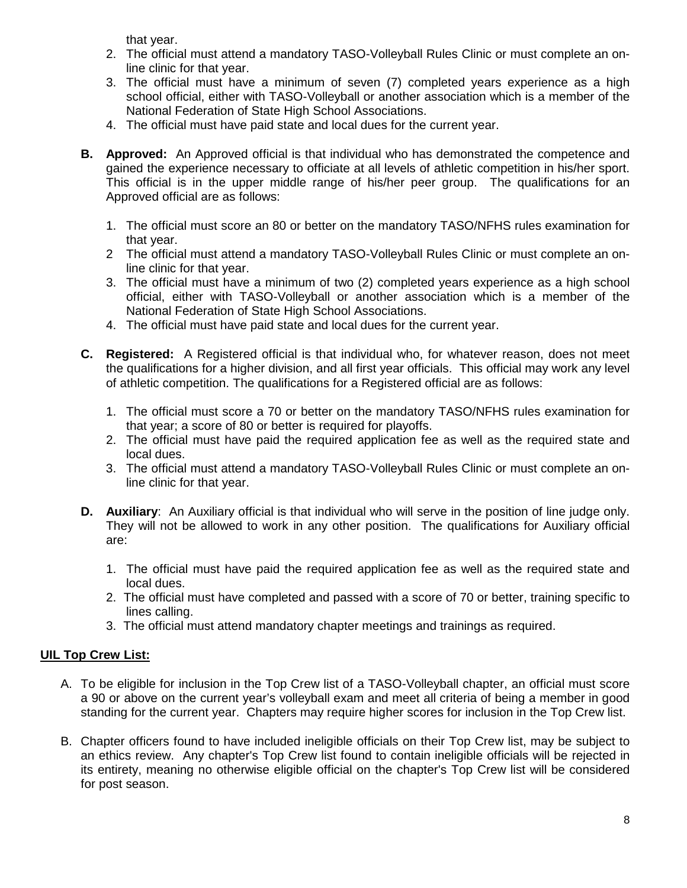that year.

- 2. The official must attend a mandatory TASO-Volleyball Rules Clinic or must complete an online clinic for that year.
- 3. The official must have a minimum of seven (7) completed years experience as a high school official, either with TASO-Volleyball or another association which is a member of the National Federation of State High School Associations.
- 4. The official must have paid state and local dues for the current year.
- **B. Approved:** An Approved official is that individual who has demonstrated the competence and gained the experience necessary to officiate at all levels of athletic competition in his/her sport. This official is in the upper middle range of his/her peer group. The qualifications for an Approved official are as follows:
	- 1. The official must score an 80 or better on the mandatory TASO/NFHS rules examination for that year.
	- 2 The official must attend a mandatory TASO-Volleyball Rules Clinic or must complete an online clinic for that year.
	- 3. The official must have a minimum of two (2) completed years experience as a high school official, either with TASO-Volleyball or another association which is a member of the National Federation of State High School Associations.
	- 4. The official must have paid state and local dues for the current year.
- **C. Registered:** A Registered official is that individual who, for whatever reason, does not meet the qualifications for a higher division, and all first year officials. This official may work any level of athletic competition. The qualifications for a Registered official are as follows:
	- 1. The official must score a 70 or better on the mandatory TASO/NFHS rules examination for that year; a score of 80 or better is required for playoffs.
	- 2. The official must have paid the required application fee as well as the required state and local dues.
	- 3. The official must attend a mandatory TASO-Volleyball Rules Clinic or must complete an online clinic for that year.
- **D. Auxiliary**: An Auxiliary official is that individual who will serve in the position of line judge only. They will not be allowed to work in any other position. The qualifications for Auxiliary official are:
	- 1. The official must have paid the required application fee as well as the required state and local dues.
	- 2. The official must have completed and passed with a score of 70 or better, training specific to lines calling.
	- 3. The official must attend mandatory chapter meetings and trainings as required.

# **UIL Top Crew List:**

- A. To be eligible for inclusion in the Top Crew list of a TASO-Volleyball chapter, an official must score a 90 or above on the current year's volleyball exam and meet all criteria of being a member in good standing for the current year. Chapters may require higher scores for inclusion in the Top Crew list.
- B. Chapter officers found to have included ineligible officials on their Top Crew list, may be subject to an ethics review. Any chapter's Top Crew list found to contain ineligible officials will be rejected in its entirety, meaning no otherwise eligible official on the chapter's Top Crew list will be considered for post season.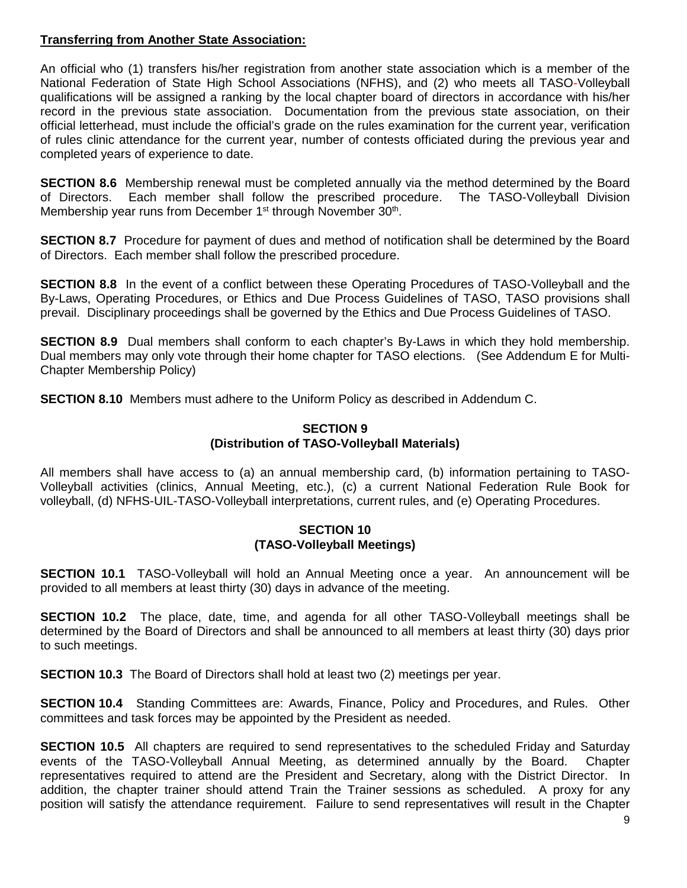# **Transferring from Another State Association:**

An official who (1) transfers his/her registration from another state association which is a member of the National Federation of State High School Associations (NFHS), and (2) who meets all TASO-Volleyball qualifications will be assigned a ranking by the local chapter board of directors in accordance with his/her record in the previous state association. Documentation from the previous state association, on their official letterhead, must include the official's grade on the rules examination for the current year, verification of rules clinic attendance for the current year, number of contests officiated during the previous year and completed years of experience to date.

**SECTION 8.6** Membership renewal must be completed annually via the method determined by the Board of Directors. Each member shall follow the prescribed procedure. The TASO-Volleyball Division Membership year runs from December 1<sup>st</sup> through November 30<sup>th</sup>.

**SECTION 8.7** Procedure for payment of dues and method of notification shall be determined by the Board of Directors. Each member shall follow the prescribed procedure.

**SECTION 8.8** In the event of a conflict between these Operating Procedures of TASO-Volleyball and the By-Laws, Operating Procedures, or Ethics and Due Process Guidelines of TASO, TASO provisions shall prevail. Disciplinary proceedings shall be governed by the Ethics and Due Process Guidelines of TASO.

**SECTION 8.9** Dual members shall conform to each chapter's By-Laws in which they hold membership. Dual members may only vote through their home chapter for TASO elections. (See Addendum E for Multi-Chapter Membership Policy)

**SECTION 8.10** Members must adhere to the Uniform Policy as described in Addendum C.

# **SECTION 9 (Distribution of TASO-Volleyball Materials)**

All members shall have access to (a) an annual membership card, (b) information pertaining to TASO-Volleyball activities (clinics, Annual Meeting, etc.), (c) a current National Federation Rule Book for volleyball, (d) NFHS-UIL-TASO-Volleyball interpretations, current rules, and (e) Operating Procedures.

# **SECTION 10 (TASO-Volleyball Meetings)**

**SECTION 10.1** TASO-Volleyball will hold an Annual Meeting once a year. An announcement will be provided to all members at least thirty (30) days in advance of the meeting.

**SECTION 10.2** The place, date, time, and agenda for all other TASO-Volleyball meetings shall be determined by the Board of Directors and shall be announced to all members at least thirty (30) days prior to such meetings.

**SECTION 10.3** The Board of Directors shall hold at least two (2) meetings per year.

**SECTION 10.4** Standing Committees are: Awards, Finance, Policy and Procedures, and Rules. Other committees and task forces may be appointed by the President as needed.

**SECTION 10.5** All chapters are required to send representatives to the scheduled Friday and Saturday events of the TASO-Volleyball Annual Meeting, as determined annually by the Board. Chapter representatives required to attend are the President and Secretary, along with the District Director. In addition, the chapter trainer should attend Train the Trainer sessions as scheduled. A proxy for any position will satisfy the attendance requirement. Failure to send representatives will result in the Chapter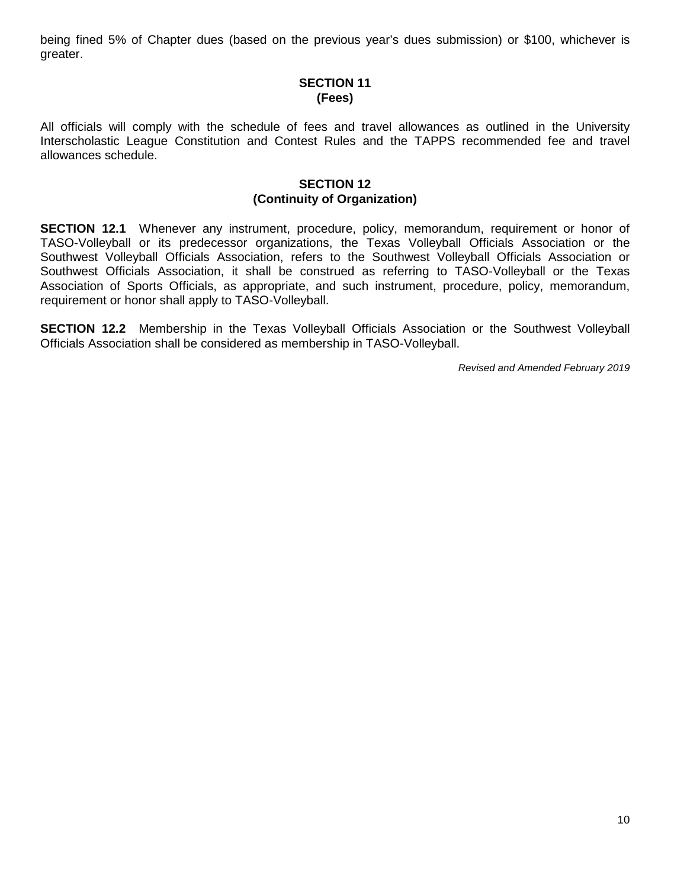being fined 5% of Chapter dues (based on the previous year's dues submission) or \$100, whichever is greater.

# **SECTION 11 (Fees)**

All officials will comply with the schedule of fees and travel allowances as outlined in the University Interscholastic League Constitution and Contest Rules and the TAPPS recommended fee and travel allowances schedule.

# **SECTION 12 (Continuity of Organization)**

**SECTION 12.1** Whenever any instrument, procedure, policy, memorandum, requirement or honor of TASO-Volleyball or its predecessor organizations, the Texas Volleyball Officials Association or the Southwest Volleyball Officials Association, refers to the Southwest Volleyball Officials Association or Southwest Officials Association, it shall be construed as referring to TASO-Volleyball or the Texas Association of Sports Officials, as appropriate, and such instrument, procedure, policy, memorandum, requirement or honor shall apply to TASO-Volleyball.

**SECTION 12.2** Membership in the Texas Volleyball Officials Association or the Southwest Volleyball Officials Association shall be considered as membership in TASO-Volleyball.

*Revised and Amended February 2019*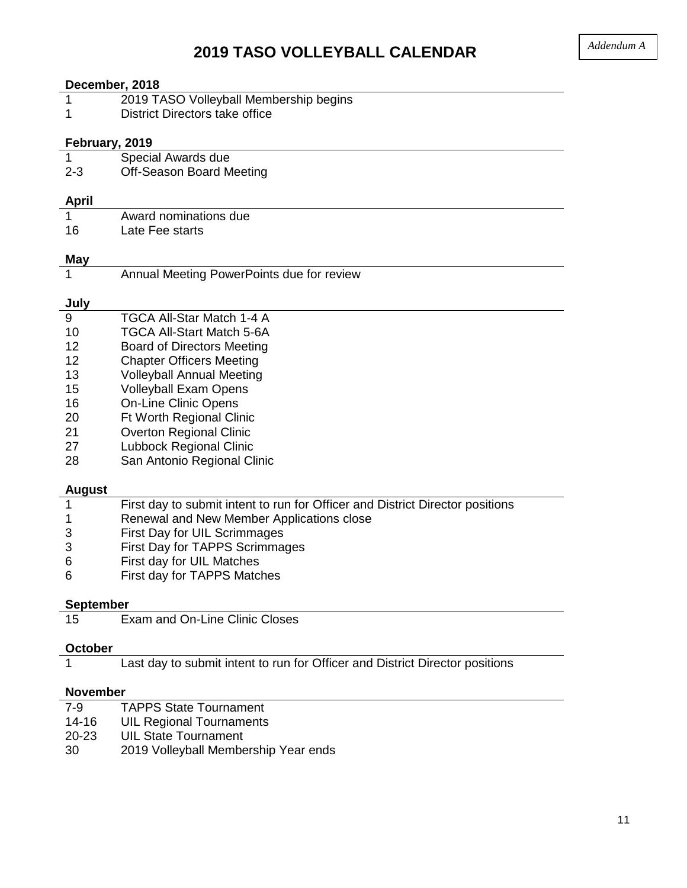# **2019 TASO VOLLEYBALL CALENDAR**

| December, 2018   |                                                                               |
|------------------|-------------------------------------------------------------------------------|
| 1                | 2019 TASO Volleyball Membership begins                                        |
| 1                | <b>District Directors take office</b>                                         |
|                  |                                                                               |
| February, 2019   |                                                                               |
| 1                | Special Awards due                                                            |
| $2 - 3$          | <b>Off-Season Board Meeting</b>                                               |
|                  |                                                                               |
| April            |                                                                               |
| $\mathbf{1}$     | Award nominations due                                                         |
| 16               | Late Fee starts                                                               |
|                  |                                                                               |
| May              |                                                                               |
| 1                | Annual Meeting PowerPoints due for review                                     |
|                  |                                                                               |
| July             | TGCA All-Star Match 1-4 A                                                     |
| 9                | <b>TGCA All-Start Match 5-6A</b>                                              |
| 10<br>12         |                                                                               |
| 12               | <b>Board of Directors Meeting</b>                                             |
|                  | <b>Chapter Officers Meeting</b>                                               |
| 13               | <b>Volleyball Annual Meeting</b>                                              |
| 15               | <b>Volleyball Exam Opens</b>                                                  |
| 16               | <b>On-Line Clinic Opens</b>                                                   |
| 20<br>21         | <b>Ft Worth Regional Clinic</b>                                               |
|                  | <b>Overton Regional Clinic</b>                                                |
| 27               | <b>Lubbock Regional Clinic</b>                                                |
| 28               | San Antonio Regional Clinic                                                   |
| August           |                                                                               |
| $\mathbf{1}$     | First day to submit intent to run for Officer and District Director positions |
| 1                | Renewal and New Member Applications close                                     |
| 3                | First Day for UIL Scrimmages                                                  |
| 3                | First Day for TAPPS Scrimmages                                                |
| 6                | First day for UIL Matches                                                     |
| 6                | First day for TAPPS Matches                                                   |
|                  |                                                                               |
| <b>September</b> |                                                                               |
| 15               | <b>Exam and On-Line Clinic Closes</b>                                         |
|                  |                                                                               |
| October          |                                                                               |
|                  | Last day to submit intent to run for Officer and District Director positions  |
|                  |                                                                               |
| November         |                                                                               |

- 7-9 TAPPS State Tournament<br>14-16 UIL Regional Tournaments UIL Regional Tournaments 20-23 UIL State Tournament
- 30 2019 Volleyball Membership Year ends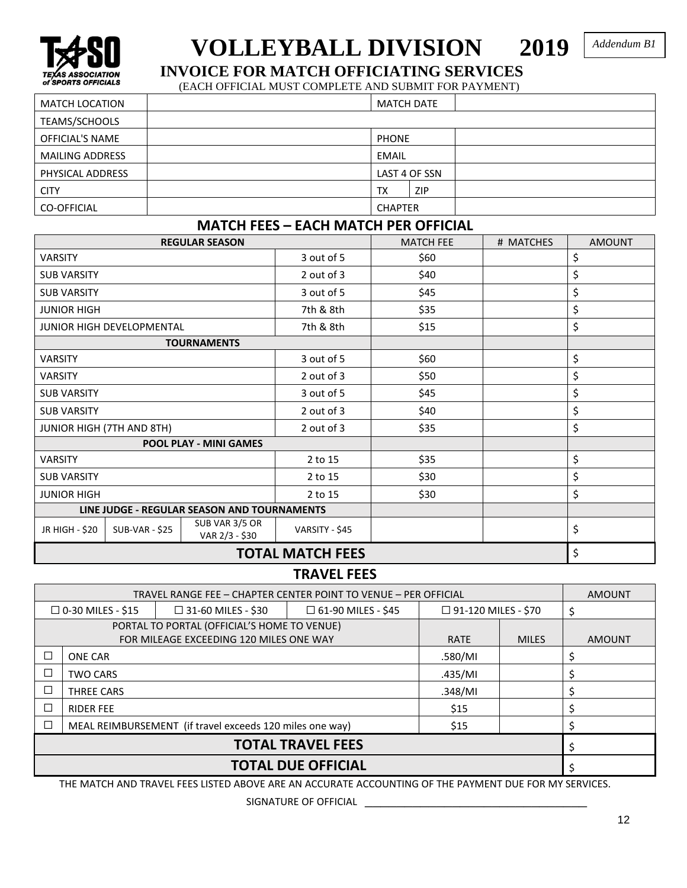

# **VOLLEYBALL DIVISION 2019 INVOICE FOR MATCH OFFICIATING SERVICES**

*Addendum B1* 

(EACH OFFICIAL MUST COMPLETE AND SUBMIT FOR PAYMENT)

| <b>MATCH LOCATION</b>  |  |                |               |  |
|------------------------|--|----------------|---------------|--|
| TEAMS/SCHOOLS          |  |                |               |  |
| <b>OFFICIAL'S NAME</b> |  | <b>PHONE</b>   |               |  |
| <b>MAILING ADDRESS</b> |  | <b>EMAIL</b>   |               |  |
| PHYSICAL ADDRESS       |  |                | LAST 4 OF SSN |  |
| <b>CITY</b>            |  | ТX             | <b>ZIP</b>    |  |
| <b>CO-OFFICIAL</b>     |  | <b>CHAPTER</b> |               |  |

# **MATCH FEES – EACH MATCH PER OFFICIAL**

| <b>REGULAR SEASON</b>                       |                                  |                                  | <b>MATCH FEE</b> | # MATCHES | <b>AMOUNT</b> |    |
|---------------------------------------------|----------------------------------|----------------------------------|------------------|-----------|---------------|----|
| <b>VARSITY</b>                              |                                  |                                  | 3 out of 5       | \$60      |               | \$ |
| <b>SUB VARSITY</b>                          |                                  |                                  | 2 out of 3       | \$40      |               | \$ |
| <b>SUB VARSITY</b>                          |                                  |                                  | 3 out of 5       | \$45      |               | \$ |
| <b>JUNIOR HIGH</b>                          |                                  |                                  | 7th & 8th        | \$35      |               | \$ |
|                                             | <b>JUNIOR HIGH DEVELOPMENTAL</b> |                                  | 7th & 8th        | \$15      |               | \$ |
|                                             |                                  | <b>TOURNAMENTS</b>               |                  |           |               |    |
| <b>VARSITY</b>                              |                                  |                                  | 3 out of 5       | \$60      |               | \$ |
| <b>VARSITY</b>                              |                                  |                                  | 2 out of 3       | \$50      |               | \$ |
| <b>SUB VARSITY</b>                          |                                  |                                  | 3 out of 5       | \$45      |               | \$ |
| <b>SUB VARSITY</b>                          |                                  |                                  | 2 out of 3       | \$40      |               | \$ |
| JUNIOR HIGH (7TH AND 8TH)                   |                                  | 2 out of 3                       | \$35             |           | \$            |    |
|                                             |                                  | <b>POOL PLAY - MINI GAMES</b>    |                  |           |               |    |
| <b>VARSITY</b>                              |                                  |                                  | 2 to 15          | \$35      |               | \$ |
| <b>SUB VARSITY</b>                          |                                  |                                  | 2 to 15          | \$30      |               | \$ |
| <b>JUNIOR HIGH</b>                          |                                  | 2 to 15                          | \$30             |           | \$            |    |
| LINE JUDGE - REGULAR SEASON AND TOURNAMENTS |                                  |                                  |                  |           |               |    |
| JR HIGH - \$20                              | <b>SUB-VAR - \$25</b>            | SUB VAR 3/5 OR<br>VAR 2/3 - \$30 | VARSITY - \$45   |           |               | \$ |
|                                             | <b>TOTAL MATCH FEES</b>          |                                  |                  |           |               | \$ |

# **TRAVEL FEES**

| TRAVEL RANGE FEE - CHAPTER CENTER POINT TO VENUE - PER OFFICIAL |                          |                                             |                           |                            | <b>AMOUNT</b> |               |
|-----------------------------------------------------------------|--------------------------|---------------------------------------------|---------------------------|----------------------------|---------------|---------------|
|                                                                 | $\Box$ 0-30 MILES - \$15 | $\Box$ 31-60 MILES - \$30                   | $\Box$ 61-90 MILES - \$45 | $\Box$ 91-120 MILES - \$70 |               |               |
|                                                                 |                          | PORTAL TO PORTAL (OFFICIAL'S HOME TO VENUE) |                           |                            |               |               |
|                                                                 |                          | FOR MILEAGE EXCEEDING 120 MILES ONE WAY     |                           | <b>RATE</b>                | <b>MILES</b>  | <b>AMOUNT</b> |
|                                                                 | <b>ONE CAR</b>           |                                             |                           | .580/MI                    |               |               |
| $\Box$<br><b>TWO CARS</b>                                       |                          |                                             | .435/MI                   |                            |               |               |
| $\Box$<br><b>THREE CARS</b>                                     |                          |                                             | .348/MI                   |                            |               |               |
| $\Box$<br><b>RIDER FEE</b>                                      |                          |                                             | \$15                      |                            |               |               |
| MEAL REIMBURSEMENT (if travel exceeds 120 miles one way)        |                          |                                             | \$15                      |                            |               |               |
| <b>TOTAL TRAVEL FEES</b>                                        |                          |                                             |                           |                            |               |               |
| <b>TOTAL DUE OFFICIAL</b>                                       |                          |                                             |                           |                            |               |               |

THE MATCH AND TRAVEL FEES LISTED ABOVE ARE AN ACCURATE ACCOUNTING OF THE PAYMENT DUE FOR MY SERVICES.

SIGNATURE OF OFFICIAL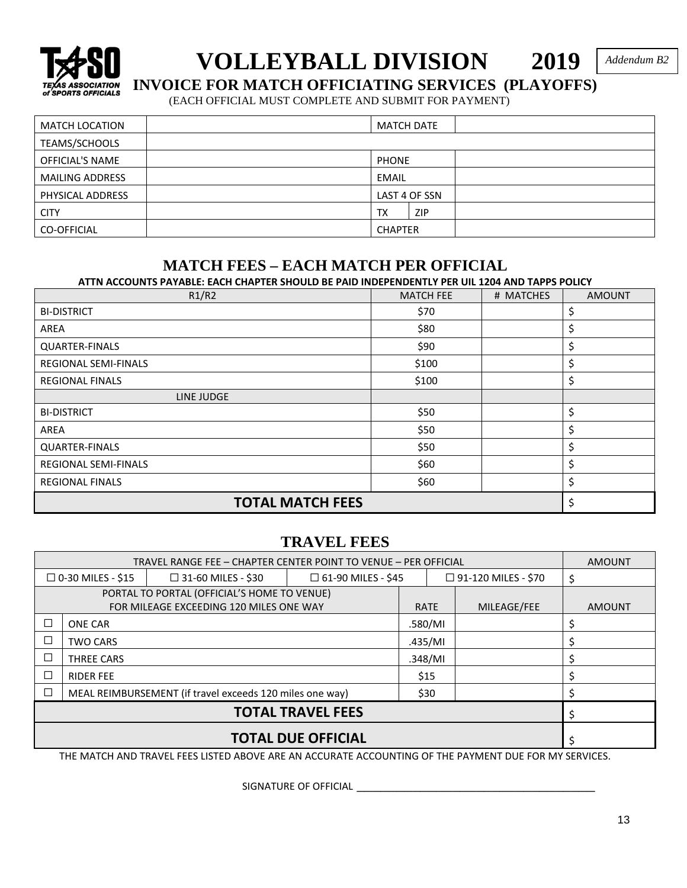

# **VOLLEYBALL DIVISION 2019** INVOICE FOR MATCH OFFICIATING SERVICES (PLAYOFFS)

*Addendum B2* 

(EACH OFFICIAL MUST COMPLETE AND SUBMIT FOR PAYMENT)

| <b>MATCH LOCATION</b>  | <b>MATCH DATE</b> |                |               |  |
|------------------------|-------------------|----------------|---------------|--|
| TEAMS/SCHOOLS          |                   |                |               |  |
| <b>OFFICIAL'S NAME</b> |                   | <b>PHONE</b>   |               |  |
| <b>MAILING ADDRESS</b> |                   | EMAIL          |               |  |
| PHYSICAL ADDRESS       |                   |                | LAST 4 OF SSN |  |
| <b>CITY</b>            |                   | <b>TX</b>      | <b>ZIP</b>    |  |
| CO-OFFICIAL            |                   | <b>CHAPTER</b> |               |  |

# **MATCH FEES – EACH MATCH PER OFFICIAL**

**ATTN ACCOUNTS PAYABLE: EACH CHAPTER SHOULD BE PAID INDEPENDENTLY PER UIL 1204 AND TAPPS POLICY**

| R1/R2                   | <b>MATCH FEE</b> | # MATCHES | <b>AMOUNT</b> |
|-------------------------|------------------|-----------|---------------|
| <b>BI-DISTRICT</b>      | \$70             |           | \$,           |
| AREA                    | \$80             |           | \$            |
| <b>QUARTER-FINALS</b>   | \$90             |           | \$            |
| REGIONAL SEMI-FINALS    | \$100            |           | \$            |
| <b>REGIONAL FINALS</b>  | \$100            |           | \$            |
| LINE JUDGE              |                  |           |               |
| <b>BI-DISTRICT</b>      | \$50             |           | \$            |
| AREA                    | \$50             |           | \$            |
| <b>QUARTER-FINALS</b>   | \$50             |           | \$            |
| REGIONAL SEMI-FINALS    | \$60             |           | \$            |
| <b>REGIONAL FINALS</b>  | \$60             |           |               |
| <b>TOTAL MATCH FEES</b> |                  |           |               |

# **TRAVEL FEES**

| TRAVEL RANGE FEE - CHAPTER CENTER POINT TO VENUE - PER OFFICIAL    |                                                                                                                  |                                             |         |             | <b>AMOUNT</b> |             |               |
|--------------------------------------------------------------------|------------------------------------------------------------------------------------------------------------------|---------------------------------------------|---------|-------------|---------------|-------------|---------------|
|                                                                    | $\Box$ 0-30 MILES - \$15<br>$\Box$ 31-60 MILES - \$30<br>$\Box$ 61-90 MILES - \$45<br>$\Box$ 91-120 MILES - \$70 |                                             |         |             |               | \$          |               |
|                                                                    |                                                                                                                  | PORTAL TO PORTAL (OFFICIAL'S HOME TO VENUE) |         |             |               |             |               |
|                                                                    |                                                                                                                  | FOR MILEAGE EXCEEDING 120 MILES ONE WAY     |         | <b>RATE</b> |               | MILEAGE/FEE | <b>AMOUNT</b> |
|                                                                    | <b>ONE CAR</b>                                                                                                   |                                             |         | .580/MI     |               |             |               |
|                                                                    | <b>TWO CARS</b>                                                                                                  |                                             |         | .435/MI     |               |             |               |
| $\Box$<br>THREE CARS                                               |                                                                                                                  |                                             | .348/MI |             |               |             |               |
| $\Box$<br><b>RIDER FEE</b>                                         |                                                                                                                  |                                             | \$15    |             |               |             |               |
| $\Box$<br>MEAL REIMBURSEMENT (if travel exceeds 120 miles one way) |                                                                                                                  |                                             | \$30    |             |               |             |               |
| <b>TOTAL TRAVEL FEES</b>                                           |                                                                                                                  |                                             |         |             |               |             |               |
| <b>TOTAL DUE OFFICIAL</b>                                          |                                                                                                                  |                                             |         |             |               |             |               |

THE MATCH AND TRAVEL FEES LISTED ABOVE ARE AN ACCURATE ACCOUNTING OF THE PAYMENT DUE FOR MY SERVICES.

SIGNATURE OF OFFICIAL \_\_\_\_\_\_\_\_\_\_\_\_\_\_\_\_\_\_\_\_\_\_\_\_\_\_\_\_\_\_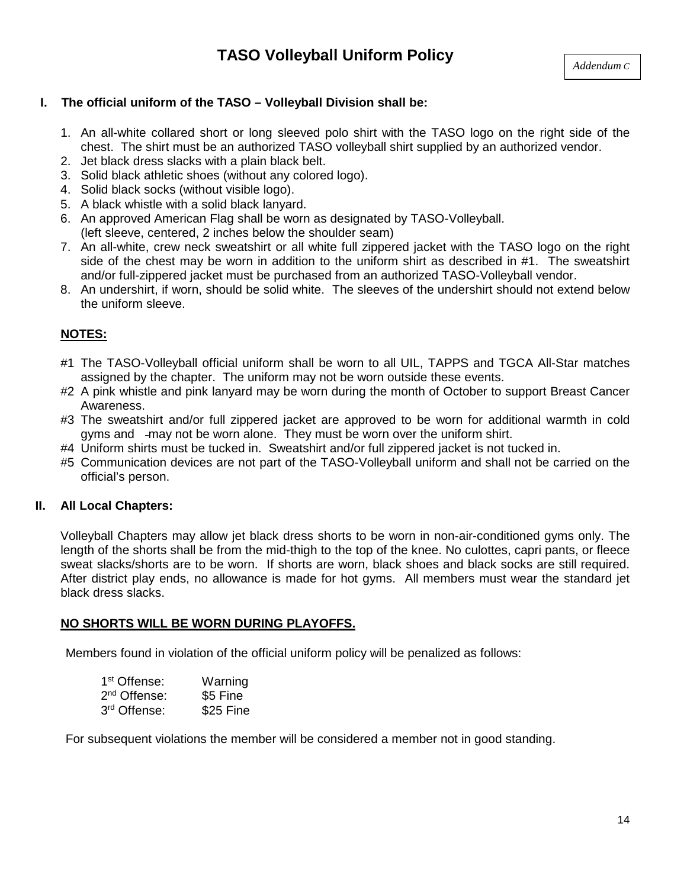# **I. The official uniform of the TASO – Volleyball Division shall be:**

- 1. An all-white collared short or long sleeved polo shirt with the TASO logo on the right side of the chest. The shirt must be an authorized TASO volleyball shirt supplied by an authorized vendor.
- 2. Jet black dress slacks with a plain black belt.
- 3. Solid black athletic shoes (without any colored logo).
- 4. Solid black socks (without visible logo).
- 5. A black whistle with a solid black lanyard.
- 6. An approved American Flag shall be worn as designated by TASO-Volleyball.
- (left sleeve, centered, 2 inches below the shoulder seam)
- 7. An all-white, crew neck sweatshirt or all white full zippered jacket with the TASO logo on the right side of the chest may be worn in addition to the uniform shirt as described in #1. The sweatshirt and/or full-zippered jacket must be purchased from an authorized TASO-Volleyball vendor.
- 8. An undershirt, if worn, should be solid white. The sleeves of the undershirt should not extend below the uniform sleeve.

# **NOTES:**

- #1 The TASO-Volleyball official uniform shall be worn to all UIL, TAPPS and TGCA All-Star matches assigned by the chapter. The uniform may not be worn outside these events.
- #2 A pink whistle and pink lanyard may be worn during the month of October to support Breast Cancer Awareness.
- #3 The sweatshirt and/or full zippered jacket are approved to be worn for additional warmth in cold gyms and may not be worn alone. They must be worn over the uniform shirt.
- #4 Uniform shirts must be tucked in. Sweatshirt and/or full zippered jacket is not tucked in.
- #5 Communication devices are not part of the TASO-Volleyball uniform and shall not be carried on the official's person.

# **II. All Local Chapters:**

Volleyball Chapters may allow jet black dress shorts to be worn in non-air-conditioned gyms only. The length of the shorts shall be from the mid-thigh to the top of the knee. No culottes, capri pants, or fleece sweat slacks/shorts are to be worn. If shorts are worn, black shoes and black socks are still required. After district play ends, no allowance is made for hot gyms. All members must wear the standard jet black dress slacks.

# **NO SHORTS WILL BE WORN DURING PLAYOFFS.**

Members found in violation of the official uniform policy will be penalized as follows:

| 1 <sup>st</sup> Offense: | Warning   |
|--------------------------|-----------|
| 2 <sup>nd</sup> Offense: | \$5 Fine  |
| 3rd Offense:             | \$25 Fine |

For subsequent violations the member will be considered a member not in good standing.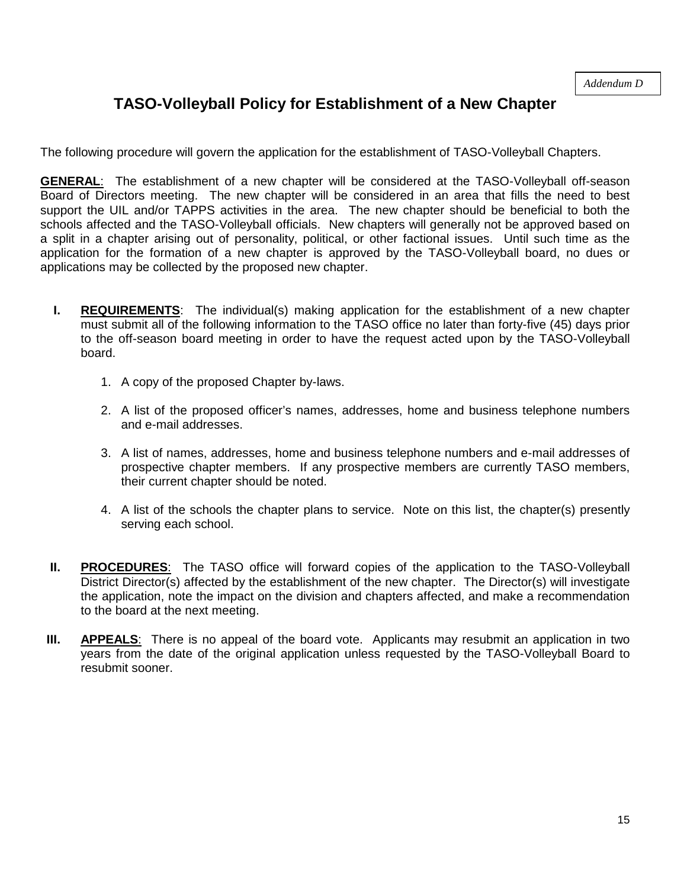# **TASO-Volleyball Policy for Establishment of a New Chapter**

The following procedure will govern the application for the establishment of TASO-Volleyball Chapters.

**GENERAL**: The establishment of a new chapter will be considered at the TASO-Volleyball off-season Board of Directors meeting. The new chapter will be considered in an area that fills the need to best support the UIL and/or TAPPS activities in the area. The new chapter should be beneficial to both the schools affected and the TASO-Volleyball officials. New chapters will generally not be approved based on a split in a chapter arising out of personality, political, or other factional issues. Until such time as the application for the formation of a new chapter is approved by the TASO-Volleyball board, no dues or applications may be collected by the proposed new chapter.

- **I. REQUIREMENTS**: The individual(s) making application for the establishment of a new chapter must submit all of the following information to the TASO office no later than forty-five (45) days prior to the off-season board meeting in order to have the request acted upon by the TASO-Volleyball board.
	- 1. A copy of the proposed Chapter by-laws.
	- 2. A list of the proposed officer's names, addresses, home and business telephone numbers and e-mail addresses.
	- 3. A list of names, addresses, home and business telephone numbers and e-mail addresses of prospective chapter members. If any prospective members are currently TASO members, their current chapter should be noted.
	- 4. A list of the schools the chapter plans to service. Note on this list, the chapter(s) presently serving each school.
- **II. PROCEDURES:** The TASO office will forward copies of the application to the TASO-Volleyball District Director(s) affected by the establishment of the new chapter. The Director(s) will investigate the application, note the impact on the division and chapters affected, and make a recommendation to the board at the next meeting.
- **III.** APPEALS: There is no appeal of the board vote. Applicants may resubmit an application in two years from the date of the original application unless requested by the TASO-Volleyball Board to resubmit sooner.